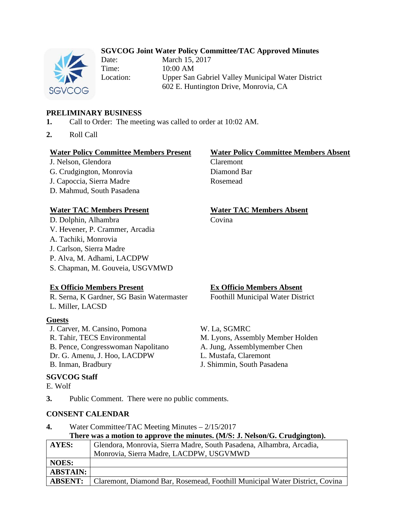# **SGVCOG Joint Water Policy Committee/TAC Approved Minutes**



Time: 10:00 AM

Date: March 15, 2017 Location: Upper San Gabriel Valley Municipal Water District 602 E. Huntington Drive, Monrovia, CA

#### **PRELIMINARY BUSINESS**

- **1.** Call to Order: The meeting was called to order at 10:02 AM.
- **2.** Roll Call

#### **Water Policy Committee Members Present Water Policy Committee Members Absent**

J. Nelson, Glendora Claremont G. Crudgington, Monrovia Diamond Bar J. Capoccia, Sierra Madre Rosemead D. Mahmud, South Pasadena

D. Dolphin, Alhambra Covina V. Hevener, P. Crammer, Arcadia A. Tachiki, Monrovia J. Carlson, Sierra Madre P. Alva, M. Adhami, LACDPW S. Chapman, M. Gouveia, USGVMWD

# **Water TAC Members Present Water TAC Members Absent**

# **Ex Officio Members Present Ex Officio Members Absent**

R. Serna, K Gardner, SG Basin Watermaster Foothill Municipal Water District L. Miller, LACSD

#### **Guests**

J. Carver, M. Cansino, Pomona W. La, SGMRC R. Tahir, TECS Environmental M. Lyons, Assembly Member Holden B. Pence, Congresswoman Napolitano A. Jung, Assemblymember Chen Dr. G. Amenu, J. Hoo, LACDPW L. Mustafa, Claremont B. Inman, Bradbury J. Shimmin, South Pasadena

#### **SGVCOG Staff**

E. Wolf

**3.** Public Comment. There were no public comments.

#### **CONSENT CALENDAR**

**4.** Water Committee/TAC Meeting Minutes – 2/15/2017 **There was a motion to approve the minutes. (M/S: J. Nelson/G. Crudgington).**

| <b>AYES:</b>    | Glendora, Monrovia, Sierra Madre, South Pasadena, Alhambra, Arcadia,        |
|-----------------|-----------------------------------------------------------------------------|
|                 | Monrovia, Sierra Madre, LACDPW, USGVMWD                                     |
| <b>NOES:</b>    |                                                                             |
| <b>ABSTAIN:</b> |                                                                             |
| <b>ABSENT:</b>  | Claremont, Diamond Bar, Rosemead, Foothill Municipal Water District, Covina |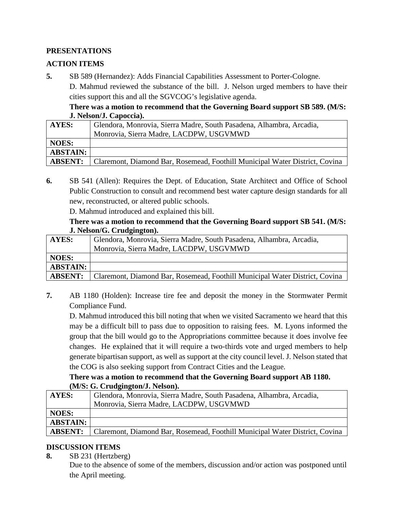# **PRESENTATIONS**

# **ACTION ITEMS**

**5.** SB 589 (Hernandez): Adds Financial Capabilities Assessment to Porter-Cologne.

D. Mahmud reviewed the substance of the bill. J. Nelson urged members to have their cities support this and all the SGVCOG's legislative agenda.

## **There was a motion to recommend that the Governing Board support SB 589. (M/S: J. Nelson/J. Capoccia).**

| AYES:           | Glendora, Monrovia, Sierra Madre, South Pasadena, Alhambra, Arcadia,        |
|-----------------|-----------------------------------------------------------------------------|
|                 | Monrovia, Sierra Madre, LACDPW, USGVMWD                                     |
| <b>NOES:</b>    |                                                                             |
| <b>ABSTAIN:</b> |                                                                             |
| <b>ABSENT:</b>  | Claremont, Diamond Bar, Rosemead, Foothill Municipal Water District, Covina |

**6.** SB 541 (Allen): Requires the Dept. of Education, State Architect and Office of School Public Construction to consult and recommend best water capture design standards for all new, reconstructed, or altered public schools.

D. Mahmud introduced and explained this bill.

#### **There was a motion to recommend that the Governing Board support SB 541. (M/S: J. Nelson/G. Crudgington).**

| AYES:           | Glendora, Monrovia, Sierra Madre, South Pasadena, Alhambra, Arcadia,        |
|-----------------|-----------------------------------------------------------------------------|
|                 | Monrovia, Sierra Madre, LACDPW, USGVMWD                                     |
| <b>NOES:</b>    |                                                                             |
| <b>ABSTAIN:</b> |                                                                             |
| <b>ABSENT:</b>  | Claremont, Diamond Bar, Rosemead, Foothill Municipal Water District, Covina |

**7.** AB 1180 (Holden): Increase tire fee and deposit the money in the Stormwater Permit Compliance Fund.

D. Mahmud introduced this bill noting that when we visited Sacramento we heard that this may be a difficult bill to pass due to opposition to raising fees. M. Lyons informed the group that the bill would go to the Appropriations committee because it does involve fee changes. He explained that it will require a two-thirds vote and urged members to help generate bipartisan support, as well as support at the city council level. J. Nelson stated that the COG is also seeking support from Contract Cities and the League.

## **There was a motion to recommend that the Governing Board support AB 1180. (M/S: G. Crudgington/J. Nelson).**

| <b>AYES:</b>    | Glendora, Monrovia, Sierra Madre, South Pasadena, Alhambra, Arcadia,        |
|-----------------|-----------------------------------------------------------------------------|
|                 | Monrovia, Sierra Madre, LACDPW, USGVMWD                                     |
| <b>NOES:</b>    |                                                                             |
| <b>ABSTAIN:</b> |                                                                             |
| <b>ABSENT:</b>  | Claremont, Diamond Bar, Rosemead, Foothill Municipal Water District, Covina |

# **DISCUSSION ITEMS**

**8.** SB 231 (Hertzberg) Due to the absence of some of the members, discussion and/or action was postponed until the April meeting.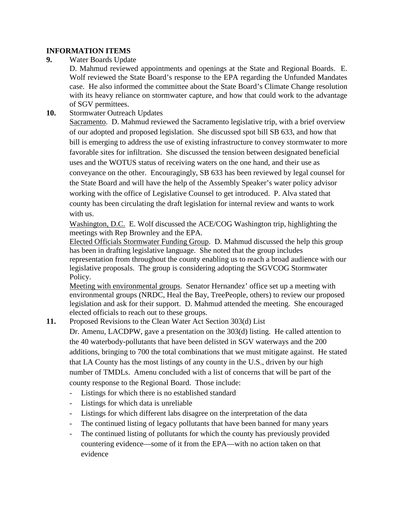### **INFORMATION ITEMS**

**9.** Water Boards Update

D. Mahmud reviewed appointments and openings at the State and Regional Boards. E. Wolf reviewed the State Board's response to the EPA regarding the Unfunded Mandates case. He also informed the committee about the State Board's Climate Change resolution with its heavy reliance on stormwater capture, and how that could work to the advantage of SGV permittees.

#### **10.** Stormwater Outreach Updates

Sacramento. D. Mahmud reviewed the Sacramento legislative trip, with a brief overview of our adopted and proposed legislation. She discussed spot bill SB 633, and how that bill is emerging to address the use of existing infrastructure to convey stormwater to more favorable sites for infiltration. She discussed the tension between designated beneficial uses and the WOTUS status of receiving waters on the one hand, and their use as conveyance on the other. Encouragingly, SB 633 has been reviewed by legal counsel for the State Board and will have the help of the Assembly Speaker's water policy advisor working with the office of Legislative Counsel to get introduced. P. Alva stated that county has been circulating the draft legislation for internal review and wants to work with us.

Washington, D.C. E. Wolf discussed the ACE/COG Washington trip, highlighting the meetings with Rep Brownley and the EPA.

Elected Officials Stormwater Funding Group. D. Mahmud discussed the help this group has been in drafting legislative language. She noted that the group includes representation from throughout the county enabling us to reach a broad audience with our legislative proposals. The group is considering adopting the SGVCOG Stormwater Policy.

Meeting with environmental groups. Senator Hernandez' office set up a meeting with environmental groups (NRDC, Heal the Bay, TreePeople, others) to review our proposed legislation and ask for their support. D. Mahmud attended the meeting. She encouraged elected officials to reach out to these groups.

**11.** Proposed Revisions to the Clean Water Act Section 303(d) List

Dr. Amenu, LACDPW, gave a presentation on the 303(d) listing. He called attention to the 40 waterbody-pollutants that have been delisted in SGV waterways and the 200 additions, bringing to 700 the total combinations that we must mitigate against. He stated that LA County has the most listings of any county in the U.S., driven by our high number of TMDLs. Amenu concluded with a list of concerns that will be part of the county response to the Regional Board. Those include:

- Listings for which there is no established standard
- Listings for which data is unreliable
- Listings for which different labs disagree on the interpretation of the data
- The continued listing of legacy pollutants that have been banned for many years
- The continued listing of pollutants for which the county has previously provided countering evidence—some of it from the EPA—with no action taken on that evidence